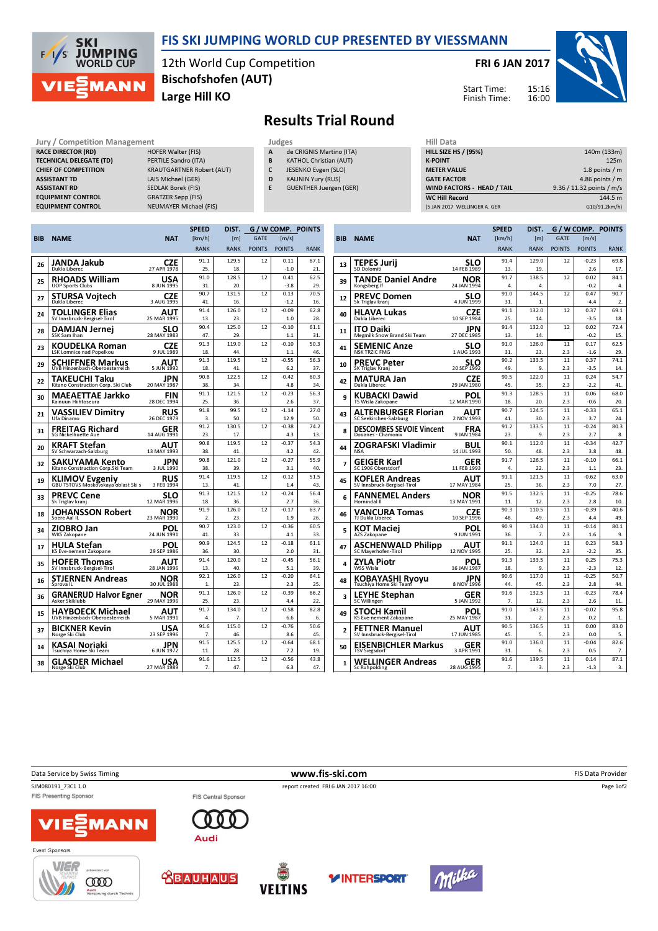

## FIS SKI JUMPING WORLD CUP PRESENTED BY VIESSMANN

12th World Cup Competition Large Hill KO Bischofshofen (AUT)

FRI 6 JAN 2017

Start Time: Finish Time:



Results Trial Round

Jury / Competition Management **Judges** Judges Hill Data Competition Management Judges Hill Data Competition Accepted Hill Data Competition Accepted Accepted Accepted Accepted Accepted Accepted Accepted Accepted Accepted Ac RACE DIRECTOR (RD) TECHNICAL DELEGATE (TD) PERTILE Sandro (ITA) CHIEF OF COMPETITION KRAUTGARTNER Robert (AUT) ASSISTANT TD LAIS Michael (GER) ASSISTANT RD SEDLAK Borek (FIS) EQUIPMENT CONTROL GRATZER Sepp (FIS)

- EQUIPMENT CONTROL NEUMAYER Michael (FIS)
- de CRIGNIS Martino (ITA)
- **B** KATHOL Christian (AUT)
- C JESENKO Evgen (SLO)
- D KALININ Yury (RUS) E GUENTHER Juergen (GER)
	-

| нш рата                           |                           |
|-----------------------------------|---------------------------|
| <b>HILL SIZE HS / (95%)</b>       | 140m (133m)               |
| <b>K-POINT</b>                    | 125m                      |
| <b>METER VALUE</b>                | 1.8 points $/m$           |
| <b>GATE FACTOR</b>                | 4.86 points $/m$          |
| <b>WIND FACTORS - HEAD / TAIL</b> | 9.36 / 11.32 points / m/s |
| <b>WC Hill Record</b>             | 144.5 m                   |
| (5 JAN 2017 WELLINGER A. GER      | G10/91.2km/h)             |
|                                   |                           |

|     |                                                              |                           | <b>SPEED</b>   | DIST.        |               | G / W COMP. POINTS |             |
|-----|--------------------------------------------------------------|---------------------------|----------------|--------------|---------------|--------------------|-------------|
| BIB | <b>NAME</b>                                                  | <b>NAT</b>                | [km/h]         | [m]          | <b>GATE</b>   | [m/s]              |             |
|     |                                                              |                           | <b>RANK</b>    | <b>RANK</b>  | <b>POINTS</b> | <b>POINTS</b>      | <b>RANK</b> |
|     | JANDA Jakub                                                  | CZE                       | 91.1           | 129.5        | 12            | 0.11               | 67.1        |
| 26  | Dukla Liberec                                                | 27 APR 1978               | 25.            | 18.          |               | $-1.0$             | 21.         |
| 25  | RHOADS William                                               | USA                       | 91.0           | 128.5        | 12            | 0.41               | 62.5        |
|     | <b>UOP Sports Clubs</b>                                      | 8 JUN 1995                | 31.            | 20.          |               | $-3.8$             | 29.         |
| 27  | <b>STURSA Voitech</b>                                        | CZE                       | 90.7           | 131.5        | 12            | 0.13               | 70.5        |
|     | Dukla Liberec                                                | 3 AUG 1995                | 41.            | 16.          |               | $-1.2$             | 16.         |
| 24  | TOLLINGER Elias                                              | AUT                       | 91.4           | 126.0        | 12            | $-0.09$            | 62.8        |
|     | SV Innsbruck-Bergisel-Tirol                                  | 25 MAR 1995               | 13.            | 23.          |               | 1.0                | 28.         |
| 28  | <b>DAMJAN Jernej</b><br>SSK Sam Ihan                         | <b>SLO</b><br>28 MAY 1983 | 90.4<br>47.    | 125.0<br>29. | 12            | $-0.10$<br>1.1     | 61.1<br>31. |
|     | KOUDELKA Roman                                               | CZE                       | 91.3           | 119.0        | 12            | $-0.10$            | 50.3        |
| 23  | LSK Lomnice nad Popelkou                                     | 9 JUL 1989                | 18.            | 44           |               | 1.1                | 46.         |
| 29  | SCHIFFNER Markus                                             | AUT                       | 91.3           | 119.5        | 12            | $-0.55$            | 56.3        |
|     | UVB Hinzenbach-Oberoesterreich                               | 5 JUN 1992                | 18.            | 41.          |               | 6.2                | 37.         |
| 22  | TAKEUCHI Taku                                                | JPN                       | 90.8           | 122.5        | 12            | $-0.42$            | 60.3        |
|     | Kitano Construction Corp. Ski Club                           | 20 MAY 1987               | 38.            | 34.          |               | 4.8                | 34.         |
| 30  | MAEAETTAE Jarkko<br>Kainuun Hiihtoseura                      | FIN                       | 91.1<br>25     | 121.5        | 12            | $-0.23$            | 56.3        |
|     |                                                              | 28 DEC 1994               |                | 36.          |               | 2.6                | 37.         |
| 21  | VASSILIEV Dimitrv<br>Ufa Dinamo                              | RUS<br>26 DEC 1979        | 91.8<br>3.     | 99.5<br>50.  | 12            | $-1.14$<br>12.9    | 27.0<br>50. |
|     |                                                              |                           | 91.2           | 130.5        | 12            | $-0.38$            | 74.2        |
| 31  | <b>FREITAG Richard</b><br><b>SG Nickelhuette Aue</b>         | GER<br>14 AUG 1991        | 23.            | 17.          |               | 4.3                | 13.         |
|     | KRAFT Stefan                                                 |                           | 90.8           | 119.5        | 12            | $-0.37$            | 54.3        |
| 20  | SV Schwarzach-Salzburg                                       | AUT<br>13 MAY 1993        | 38.            | 41.          |               | 4.2                | 42.         |
|     |                                                              | JPN                       | 90.8           | 121.0        | 12            | $-0.27$            | 55.9        |
| 32  | <b>SAKUYAMA Kento</b><br>Kitano Construction Corp.Ski Team   | 3 JUL 1990                | 38.            | 39.          |               | 3.1                | 40.         |
| 19  | <b>KLIMOV Evgeniy</b><br>GBU TSTOVS Moskovskaya oblast Ski s | RUS                       | 91.4           | 119.5        | 12            | $-0.12$            | 51.5        |
|     |                                                              | 3 FEB 1994                | 13.            | 41.          |               | 1.4                | 43.         |
| 33  | PREVC Cene                                                   | <b>SLO</b><br>12 MAR 1996 | 91.3           | 121.5        | 12            | $-0.24$            | 56.4        |
|     | Sk Triglav kranj                                             |                           | 18.            | 36.          |               | 2.7                | 36.         |
| 18  | JOHANSSON Robert                                             | NOR                       | 91.9           | 126.0        | 12            | $-0.17$            | 63.7        |
|     | Soere Aal IL                                                 | 23 MAR 1990               | $\mathfrak{D}$ | 23.          |               | 1.9                | 26.         |
| 34  | ZIOBRO Jan<br><b>WKS Zakopane</b>                            | POL<br>24 JUN 1991        | 90.7<br>41.    | 123.0<br>33. | 12            | $-0.36$<br>4.1     | 60.5<br>33. |
|     |                                                              |                           | 90.9           | 124.5        | 12            | $-0.18$            | 61.1        |
| 17  | HULA Stefan<br>KS Eve-nement Zakopane                        | POL<br>29 SEP 1986        | 36.            | 30.          |               | 2.0                | 31.         |
|     |                                                              |                           | 91.4           | 120.0        | 12            | $-0.45$            | 56.1        |
| 35  | <b>HOFER Thomas</b><br>SV Innsbruck-Bergisel-Tirol           | AUT<br>28 JAN 1996        | 13.            | 40.          |               | 5.1                | 39.         |
|     | STJERNEN Andreas                                             | NOR                       | 92.1           | 126.0        | 12            | $-0.20$            | 64.1        |
| 16  | Sprova <sub>IL</sub>                                         | 30 JUL 1988               | 1.             | 23.          |               | 2.3                | 25.         |
| 36  | <b>GRANERUD Halvor Egner</b>                                 | NOR                       | 91.1           | 126.0        | 12            | $-0.39$            | 66.2        |
|     | Asker Skiklubb                                               | 29 MAY 1996               | 25.            | 23.          |               | 4.4                | 22.         |
| 15  | HAYBOECK Michael                                             | AUT                       | 91.7           | 134.0        | 12            | $-0.58$            | 82.8        |
|     | UVB Hinzenbach-Oberoesterreich                               | 5 MAR 1991                | 4.             | 7.           |               | 6.6                | 6.          |
| 37  | BICKNER Kevin<br>Norge Ski Club                              | USA<br>23 SEP 1996        | 91.6<br>7.     | 115.0<br>46. | 12            | $-0.76$<br>8.6     | 50.6<br>45. |
|     |                                                              |                           | 91.5           | 125.5        | 12            | $-0.64$            | 68.1        |
| 14  | KASAI Noriaki<br>Tsuchiya Home Ski Team                      | JPN<br>6 JUN 1972         | 11.            | 28.          |               | 7.2                | 19.         |
|     | GLASDER Michael                                              | USA                       | 91.6           | 112.5        | 12            | $-0.56$            | 43.8        |
| 38  | Norge Ski Club                                               | 27 MAR 1989               | 7.             | 47.          |               | 6.3                | 47.         |
|     |                                                              |                           |                |              |               |                    |             |

|                |                                                  |                           | <b>SPEED</b> | DIST.            | G / W COMP. POINTS |                |             |
|----------------|--------------------------------------------------|---------------------------|--------------|------------------|--------------------|----------------|-------------|
| BIB            | <b>NAME</b>                                      | <b>NAT</b>                | [km/h]       | [ <sub>m</sub> ] | <b>GATE</b>        | [m/s]          |             |
|                |                                                  |                           | <b>RANK</b>  | <b>RANK</b>      | <b>POINTS</b>      | <b>POINTS</b>  | <b>RANK</b> |
| 13             | TEPES Jurii                                      | SLO                       | 91.4         | 129.0            | 12                 | $-0.23$        | 69.8        |
|                | <b>SD Dolomiti</b>                               | 14 FEB 1989               | 13.          | 19.              |                    | 2.6            | 17.         |
| 39             | TANDE Daniel Andre                               | NOR                       | 91.7         | 138.5            | 12                 | 0.02           | 84.1        |
|                | Kongsberg If                                     | 24 JAN 1994               | 4.           | 4.               |                    | $-0.2$         | 4.          |
| 12             | <b>PREVC Domen</b><br>Sk Triglav kranj           | SLO<br>4 JUN 1999         | 91.0<br>31.  | 144.5<br>1.      | 12                 | 0.47<br>$-4.4$ | 90.7<br>2.  |
| 40             | HLAVA Lukas<br>Dukla Liberec                     | <b>CZE</b><br>10 SEP 1984 | 91.1<br>25.  | 132.0<br>14.     | 12                 | 0.37<br>$-3.5$ | 69.1<br>18. |
| 11             | ITO Daiki<br>Megmilk Snow Brand Ski Team         | JPN<br>27 DEC 1985        | 91.4<br>13   | 132.0<br>14      | 12                 | 0.02<br>$-0.2$ | 72.4<br>15. |
|                |                                                  |                           | 91.0         | 126.0            | 11                 | 0.17           | 62.5        |
| 41             | SEMENIC Anze<br><b>NSK TRZIC FMG</b>             | SLO<br>1 AUG 1993         | 31.          | 23.              | 2.3                | $-1.6$         | 29.         |
|                | PREVC Peter                                      | SLO                       | 90.2         | 133.5            | 11                 | 0.37           | 74.1        |
| 10             | SK Triglav Kranj                                 | 20 SEP 1992               | 49.          | 9.               | 2.3                | $-3.5$         | 14.         |
| 42             | MATURA Jan                                       | CZE                       | 90.5         | 122.0            | 11                 | 0.24           | 54.7        |
|                | Dukla Liberec                                    | 29 JAN 1980               | 45.          | 35.              | 2.3                | $-2.2$         | 41.         |
| 9              | KUBACKI Dawid                                    | POL                       | 91.3         | 128.5            | 11                 | 0.06           | 68.0        |
|                | TS Wisla Zakopane                                | 12 MAR 1990               | 18.          | 20.              | 2.3                | $-0.6$         | 20.         |
| 43             | ALTENBURGER Florian                              | AUT                       | 90.7         | 124.5            | 11                 | $-0.33$        | 65.1        |
|                | SC Seekirchen-Salzburg                           | 2 NOV 1993                | 41.<br>91.2  | 30.<br>133.5     | 2.3<br>11          | 3.7<br>$-0.24$ | 24.<br>80.3 |
| 8              | DESCOMBES SEVOIE Vincent<br>Douanes - Chamonix   | FRA<br>9 JAN 1984         | 23.          | 9.               | 2.3                | 2.7            | 8.          |
|                |                                                  |                           | 90.1         | 112.0            | 11                 | $-0.34$        | 42.7        |
| 44             | ZOGRAFSKI Vladimir<br><b>NSA</b>                 | BUL<br>14 JUL 1993        | 50.          | 48.              | 2.3                | 3.8            | 48.         |
|                | GEIGER Karl                                      | GER                       | 91.7         | 126.5            | 11                 | $-0.10$        | 66.1        |
| 7              | SC 1906 Oberstdorf                               | 11 FEB 1993               | 4.           | 22.              | 2.3                | 1.1            | 23.         |
| 45             | KOFLER Andreas                                   | AUT                       | 91.1         | 121.5            | 11                 | $-0.62$        | 63.0        |
|                | SV Innsbruck-Bergisel-Tirol                      | 17 MAY 1984               | 25.          | 36.              | 2.3                | 7.0            | 27.         |
| 6              | FANNEMEL Anders                                  | NOR                       | 91.5         | 132.5            | 11                 | $-0.25$        | 78.6        |
|                | Hornindal II                                     | 13 MAY 1991               | 11.          | 12.              | 2.3                | 2.8            | 10.         |
| 46             | VANCURA Tomas                                    | <b>CZE</b>                | 90.3<br>48.  | 110.5<br>49.     | 11<br>2.3          | $-0.39$<br>4.4 | 40.6<br>49. |
|                | TJ Dukla Liberec                                 | 10 SEP 1996               | 90.9         | 134.0            | 11                 | $-0.14$        | 80.1        |
| 5              | KOT Maciej<br>AZS Zakopane                       | POL<br>9 JUN 1991         | 36.          | 7.               | 2.3                | 1.6            | 9.          |
|                |                                                  |                           | 91.1         | 124.0            | 11                 | 0.23           | 58.3        |
| 47             | ASCHENWALD Philipp<br><b>SC Mayerhofen-Tirol</b> | AUT<br>12 NOV 1995        | 25.          | 32.              | 2.3                | $-2.2$         | 35.         |
|                | ZYLA Piotr                                       | POL                       | 91.3         | 133.5            | 11                 | 0.25           | 75.3        |
| 4              | WSS Wisla                                        | 16 JAN 1987               | 18.          | 9.               | 2.3                | $-2.3$         | 12.         |
| 48             | KOBAYASHI Ryoyu                                  | JPN                       | 90.6         | 117.0            | 11                 | $-0.25$        | 50.7        |
|                | Tsuchiya Home Ski Team                           | 8 NOV 1996                | 44.          | 45.              | 2.3                | 2.8            | 44          |
| 3              | LEYHE Stephan                                    | GER                       | 91.6         | 132.5            | 11                 | $-0.23$        | 78.4        |
|                | <b>SC Willingen</b>                              | 5 JAN 1992                | 7.           | 12.              | 2.3                | 2.6            | 11.         |
| 49             | STOCH Kamil<br>KS Eve-nement Zakopane            | POL<br>25 MAY 1987        | 91.0<br>31.  | 143.5<br>2.      | 11<br>2.3          | $-0.02$<br>0.2 | 95.8<br>1.  |
| $\overline{2}$ | <b>FETTNER Manuel</b>                            | ΑUΤ                       | 90.5         | 136.5            | 11                 | 0.00           | 83.0        |
|                | SV Innsbruck-Bergisel-Tirol                      | 17 JUN 1985               | 45           | 5.               | 2.3                | 0.0            | 5.          |
| 50             | EISENBICHLER Markus                              | GER                       | 91.0         | 136.0            | 11                 | $-0.04$        | 82.6        |
|                | TSV Siegsdorf                                    | 3 APR 1991                | 31.          | 6.               | 2.3                | 0.5            | 7.          |
| 1              | WELLINGER Andreas<br><b>Sc Ruhpolding</b>        | GER<br>28 AUG 1995        | 91.6<br>7.   | 139.5<br>3.      | 11<br>2.3          | 0.14<br>$-1.3$ | 87.1<br>3.  |
|                |                                                  |                           |              |                  |                    |                |             |